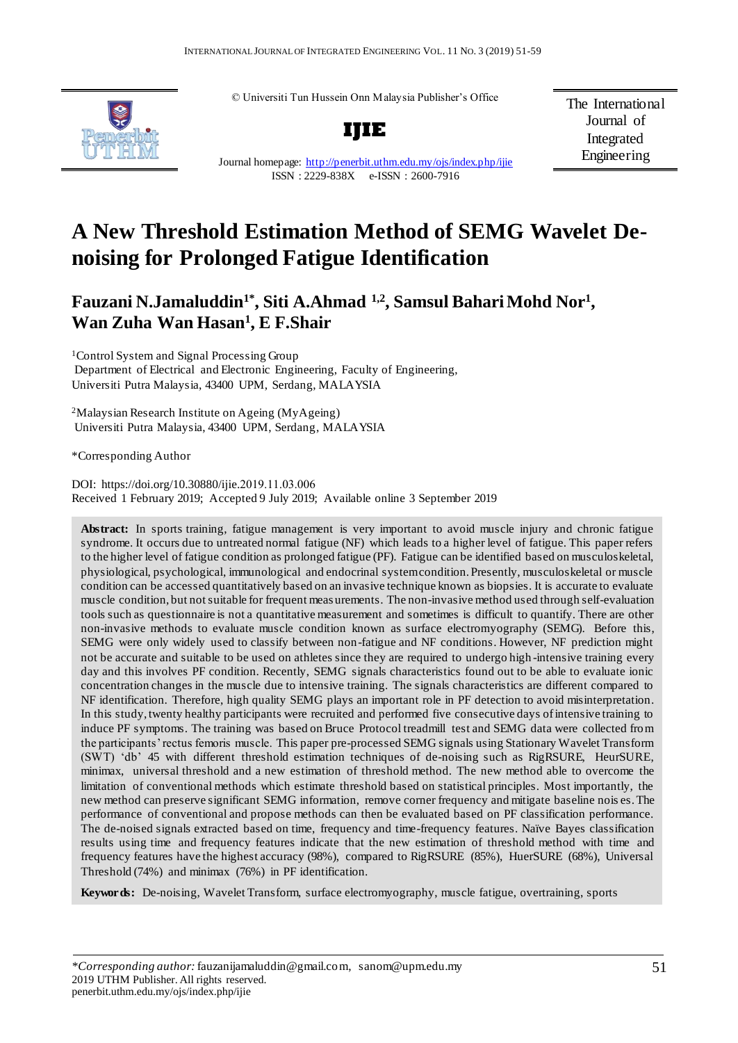© Universiti Tun Hussein Onn Malaysia Publisher's Office



Journal homepage:<http://penerbit.uthm.edu.my/ojs/index.php/ijie> ISSN : 2229-838X e-ISSN : 2600-7916

**IJIE**

The International Journal of Integrated Engineering

# **A New Threshold Estimation Method of SEMG Wavelet Denoising for Prolonged Fatigue Identification**

# **Fauzani N.Jamaluddin1\*, Siti A.Ahmad 1,2 , Samsul Bahari Mohd Nor<sup>1</sup> , Wan Zuha Wan Hasan<sup>1</sup> , E F.Shair**

<sup>1</sup>Control System and Signal Processing Group Department of Electrical and Electronic Engineering, Faculty of Engineering, Universiti Putra Malaysia, 43400 UPM, Serdang, MALAYSIA

<sup>2</sup>Malaysian Research Institute on Ageing (MyAgeing) Universiti Putra Malaysia, 43400 UPM, Serdang, MALAYSIA

\*Corresponding Author

DOI: https://doi.org/10.30880/ijie.2019.11.03.006 Received 1 February 2019; Accepted 9 July 2019; Available online 3 September 2019

Abstract: In sports training, fatigue management is very important to avoid muscle injury and chronic fatigue syndrome. It occurs due to untreated normal fatigue (NF) which leads to a higher level of fatigue. This paper refers to the higher level of fatigue condition as prolonged fatigue (PF). Fatigue can be identified based on musculoskeletal, physiological, psychological, immunological and endocrinal system condition. Presently, musculoskeletal or muscle condition can be accessed quantitatively based on an invasive technique known as biopsies. It is accurate to evaluate muscle condition, but not suitable for frequent meas urements. The non-invasive method used through self-evaluation tools such as questionnaire is not a quantitative measurement and sometimes is difficult to quantify. There are other non-invasive methods to evaluate muscle condition known as surface electromyography (SEMG). Before this, SEMG were only widely used to classify between non-fatigue and NF conditions. However, NF prediction might not be accurate and suitable to be used on athletes since they are required to undergo high -intensive training every day and this involves PF condition. Recently, SEMG signals characteristics found out to be able to evaluate ionic concentration changes in the muscle due to intensive training. The signals characteristics are different compared to NF identification. Therefore, high quality SEMG plays an important role in PF detection to avoid misinterpretation. In this study, twenty healthy participants were recruited and performed five consecutive days of intensive training to induce PF symptoms. The training was based on Bruce Protocol treadmill test and SEMG data were collected from the participants' rectus femoris muscle. This paper pre-processed SEMG signals using Stationary Wavelet Transform (SWT) 'db' 45 with different threshold estimation techniques of de-noising such as RigRSURE, HeurSURE, minimax, universal threshold and a new estimation of threshold method. The new method able to overcome the limitation of conventional methods which estimate threshold based on statistical principles. Most importantly, the new method can preserve significant SEMG information, remove corner frequency and mitigate baseline nois es. The performance of conventional and propose methods can then be evaluated based on PF classification performance. The de-noised signals extracted based on time, frequency and time-frequency features. Naïve Bayes classification results using time and frequency features indicate that the new estimation of threshold method with time and frequency features have the highest accuracy (98%), compared to RigRSURE (85%), HuerSURE (68%), Universal Threshold (74%) and minimax (76%) in PF identification.

**Keywords:** De-noising, Wavelet Transform, surface electromyography, muscle fatigue, overtraining, sports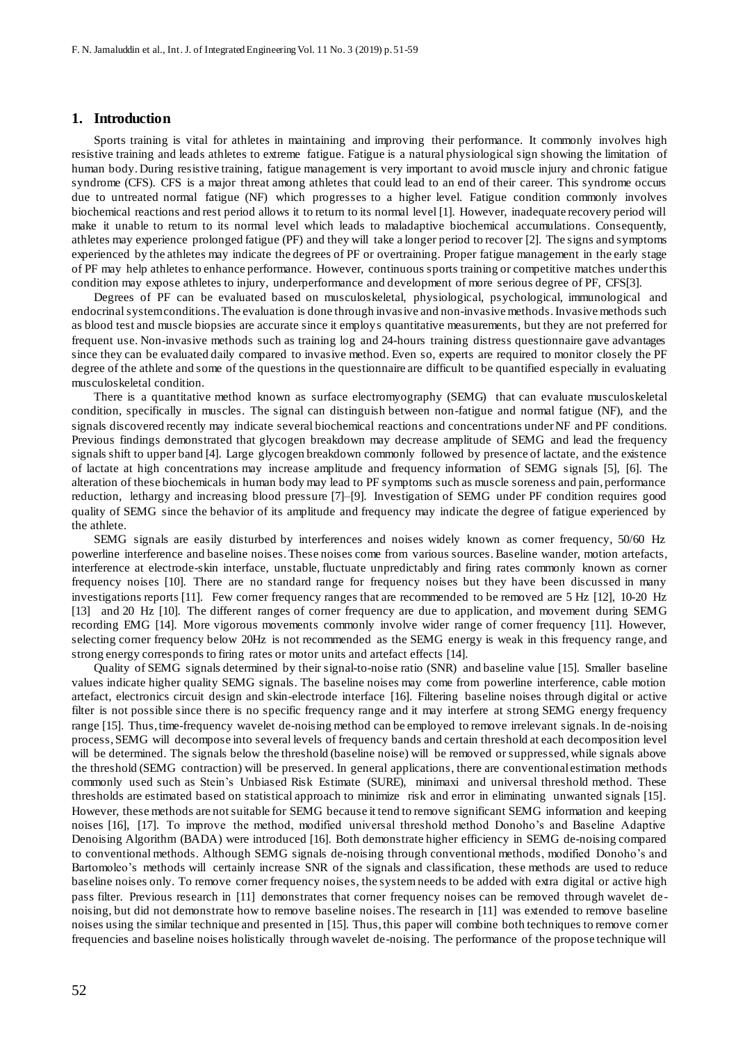#### **1. Introduction**

Sports training is vital for athletes in maintaining and improving their performance. It commonly involves high resistive training and leads athletes to extreme fatigue. Fatigue is a natural physiological sign showing the limitation of human body. During resistive training, fatigue management is very important to avoid muscle injury and chronic fatigue syndrome (CFS). CFS is a major threat among athletes that could lead to an end of their career. This syndrome occurs due to untreated normal fatigue (NF) which progresses to a higher level. Fatigue condition commonly involves biochemical reactions and rest period allows it to return to its normal level [1]. However, inadequate recovery period will make it unable to return to its normal level which leads to maladaptive biochemical accumulations. Consequently, athletes may experience prolonged fatigue (PF) and they will take a longer period to recover [2]. The signs and symptoms experienced by the athletes may indicate the degrees of PF or overtraining. Proper fatigue management in the early stage of PF may help athletes to enhance performance. However, continuous sports training or competitive matches under this condition may expose athletes to injury, underperformance and development of more serious degree of PF, CFS[3].

Degrees of PF can be evaluated based on musculoskeletal, physiological, psychological, immunological and endocrinal system conditions. The evaluation is done through invasive and non-invasive methods. Invasive methods such as blood test and muscle biopsies are accurate since it employs quantitative measurements, but they are not preferred for frequent use. Non-invasive methods such as training log and 24-hours training distress questionnaire gave advantages since they can be evaluated daily compared to invasive method. Even so, experts are required to monitor closely the PF degree of the athlete and some of the questions in the questionnaire are difficult to be quantified especially in evaluating musculoskeletal condition.

There is a quantitative method known as surface electromyography (SEMG) that can evaluate musculoskeletal condition, specifically in muscles. The signal can distinguish between non-fatigue and normal fatigue (NF), and the signals discovered recently may indicate several biochemical reactions and concentrations under NF and PF conditions. Previous findings demonstrated that glycogen breakdown may decrease amplitude of SEMG and lead the frequency signals shift to upper band [4]. Large glycogen breakdown commonly followed by presence of lactate, and the existence of lactate at high concentrations may increase amplitude and frequency information of SEMG signals [5], [6]. The alteration of these biochemicals in human body may lead to PF symptoms such as muscle soreness and pain, performance reduction, lethargy and increasing blood pressure [7]–[9]. Investigation of SEMG under PF condition requires good quality of SEMG since the behavior of its amplitude and frequency may indicate the degree of fatigue experienced by the athlete.

SEMG signals are easily disturbed by interferences and noises widely known as corner frequency, 50/60 Hz powerline interference and baseline noises. These noises come from various sources. Baseline wander, motion artefacts, interference at electrode-skin interface, unstable, fluctuate unpredictably and firing rates commonly known as corner frequency noises [10]. There are no standard range for frequency noises but they have been discussed in many investigations reports [11]. Few corner frequency ranges that are recommended to be removed are 5 Hz [12], 10-20 Hz [13] and 20 Hz [10]. The different ranges of corner frequency are due to application, and movement during SEMG recording EMG [14]. More vigorous movements commonly involve wider range of corner frequency [11]. However, selecting corner frequency below 20Hz is not recommended as the SEMG energy is weak in this frequency range, and strong energy corresponds to firing rates or motor units and artefact effects [14].

Quality of SEMG signals determined by their signal-to-noise ratio (SNR) and baseline value [15]. Smaller baseline values indicate higher quality SEMG signals. The baseline noises may come from powerline interference, cable motion artefact, electronics circuit design and skin-electrode interface [16]. Filtering baseline noises through digital or active filter is not possible since there is no specific frequency range and it may interfere at strong SEMG energy frequency range [15]. Thus, time-frequency wavelet de-noising method can be employed to remove irrelevant signals. In de-noising process, SEMG will decompose into several levels of frequency bands and certain threshold at each decomposition level will be determined. The signals below the threshold (baseline noise) will be removed or suppressed, while signals above the threshold (SEMG contraction) will be preserved. In general applications, there are conventional estimation methods commonly used such as Stein's Unbiased Risk Estimate (SURE), minimaxi and universal threshold method. These thresholds are estimated based on statistical approach to minimize risk and error in eliminating unwanted signals [15]. However, these methods are not suitable for SEMG because it tend to remove significant SEMG information and keeping noises [16], [17]. To improve the method, modified universal threshold method Donoho's and Baseline Adaptive Denoising Algorithm (BADA) were introduced [16]. Both demonstrate higher efficiency in SEMG de-noising compared to conventional methods. Although SEMG signals de-noising through conventional methods, modified Donoho's and Bartomoleo's methods will certainly increase SNR of the signals and classification, these methods are used to reduce baseline noises only. To remove corner frequency noises, the system needs to be added with extra digital or active high pass filter. Previous research in [11] demonstrates that corner frequency noises can be removed through wavelet de noising, but did not demonstrate how to remove baseline noises. The research in [11] was extended to remove baseline noises using the similar technique and presented in [15]. Thus, this paper will combine both techniques to remove corner frequencies and baseline noises holistically through wavelet de-noising. The performance of the propose technique will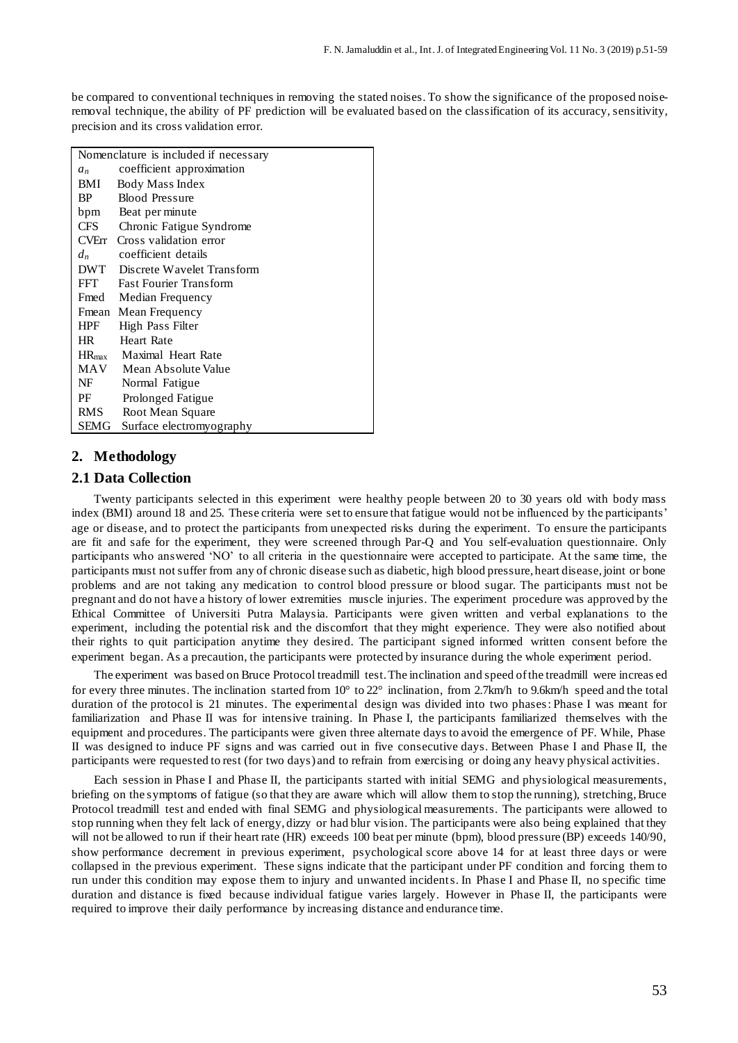be compared to conventional techniques in removing the stated noises. To show the significance of the proposed noiseremoval technique, the ability of PF prediction will be evaluated based on the classification of its accuracy, sensitivity, precision and its cross validation error.

|            | Nomenclature is included if necessary |
|------------|---------------------------------------|
| $a_n$      | coefficient approximation             |
| BMI        | Body Mass Index                       |
| BP.        | <b>Blood Pressure</b>                 |
| bpm        | Beat per minute                       |
| <b>CFS</b> | Chronic Fatigue Syndrome              |
| CVErr      | Cross validation error                |
| $d_n$      | coefficient details                   |
| DWT        | Discrete Wavelet Transform            |
| FFT        | <b>Fast Fourier Transform</b>         |
| Fmed       | Median Frequency                      |
| Fmean      | Mean Frequency                        |
| <b>HPF</b> | High Pass Filter                      |
| HR 1       | Heart Rate                            |
|            | HR <sub>max</sub> Maximal Heart Rate  |
| MAV        | Mean Absolute Value                   |
| NF         | Normal Fatigue                        |
| PF         | Prolonged Fatigue                     |
| RMS        | Root Mean Square                      |
| SEMG       | Surface electromy ography             |

# **2. Methodology**

# **2.1 Data Collection**

Twenty participants selected in this experiment were healthy people between 20 to 30 years old with body mass index (BMI) around 18 and 25. These criteria were set to ensure that fatigue would not be influenced by the participants' age or disease, and to protect the participants from unexpected risks during the experiment. To ensure the participants are fit and safe for the experiment, they were screened through Par-Q and You self-evaluation questionnaire. Only participants who answered 'NO' to all criteria in the questionnaire were accepted to participate. At the same time, the participants must not suffer from any of chronic disease such as diabetic, high blood pressure, heart disease, joint or bone problems and are not taking any medication to control blood pressure or blood sugar. The participants must not be pregnant and do not have a history of lower extremities muscle injuries. The experiment procedure was approved by the Ethical Committee of Universiti Putra Malaysia. Participants were given written and verbal explanations to the experiment, including the potential risk and the discomfort that they might experience. They were also notified about their rights to quit participation anytime they desired. The participant signed informed written consent before the experiment began. As a precaution, the participants were protected by insurance during the whole experiment period.

The experiment was based on Bruce Protocol treadmill test. The inclination and speed of the treadmill were increas ed for every three minutes. The inclination started from  $10^{\circ}$  to  $22^{\circ}$  inclination, from 2.7km/h to 9.6km/h speed and the total duration of the protocol is 21 minutes. The experimental design was divided into two phases: Phase I was meant for familiarization and Phase II was for intensive training. In Phase I, the participants familiarized themselves with the equipment and procedures. The participants were given three alternate days to avoid the emergence of PF. While, Phase II was designed to induce PF signs and was carried out in five consecutive days. Between Phase I and Phase II, the participants were requested to rest (for two days) and to refrain from exercising or doing any heavy physical activities.

Each session in Phase I and Phase II, the participants started with initial SEMG and physiological measurements, briefing on the symptoms of fatigue (so that they are aware which will allow them to stop the running), stretching, Bruce Protocol treadmill test and ended with final SEMG and physiological measurements. The participants were allowed to stop running when they felt lack of energy, dizzy or had blur vision. The participants were also being explained that they will not be allowed to run if their heart rate (HR) exceeds 100 beat per minute (bpm), blood pressure (BP) exceeds 140/90, show performance decrement in previous experiment, psychological score above 14 for at least three days or were collapsed in the previous experiment. These signs indicate that the participant under PF condition and forcing them to run under this condition may expose them to injury and unwanted incidents. In Phase I and Phase II, no specific time duration and distance is fixed because individual fatigue varies largely. However in Phase II, the participants were required to improve their daily performance by increasing distance and endurance time.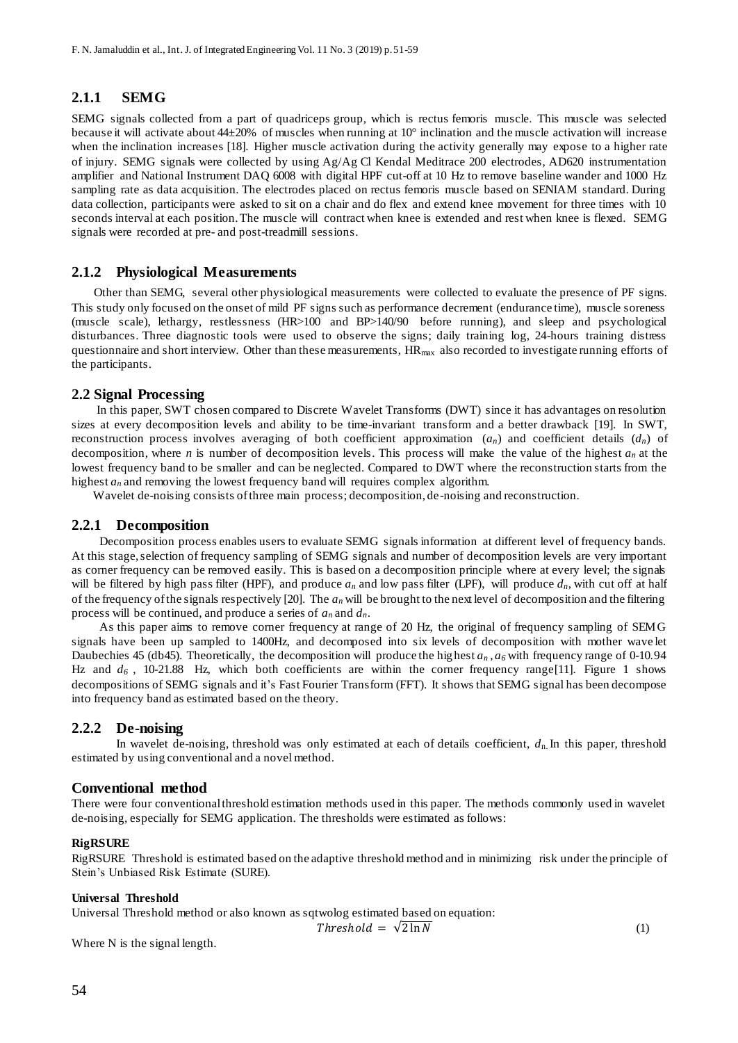# **2.1.1 SEMG**

SEMG signals collected from a part of quadriceps group, which is rectus femoris muscle. This muscle was selected because it will activate about 44±20% of muscles when running at 10° inclination and the muscle activation will increase when the inclination increases [18]. Higher muscle activation during the activity generally may expose to a higher rate of injury. SEMG signals were collected by using Ag/Ag Cl Kendal Meditrace 200 electrodes, AD620 instrumentation amplifier and National Instrument DAQ 6008 with digital HPF cut-off at 10 Hz to remove baseline wander and 1000 Hz sampling rate as data acquisition. The electrodes placed on rectus femoris muscle based on SENIAM standard. During data collection, participants were asked to sit on a chair and do flex and extend knee movement for three times with 10 seconds interval at each position. The muscle will contract when knee is extended and rest when knee is flexed. SEMG signals were recorded at pre- and post-treadmill sessions.

# **2.1.2 Physiological Measurements**

Other than SEMG, several other physiological measurements were collected to evaluate the presence of PF signs. This study only focused on the onset of mild PF signs such as performance decrement (endurance time), muscle soreness (muscle scale), lethargy, restlessness (HR>100 and BP>140/90 before running), and sleep and psychological disturbances. Three diagnostic tools were used to observe the signs; daily training log, 24-hours training distress questionnaire and short interview. Other than these measurements,  $HR_{\text{max}}$  also recorded to investigate running efforts of the participants.

## **2.2 Signal Processing**

 In this paper, SWT chosen compared to Discrete Wavelet Transforms (DWT) since it has advantages on resolution sizes at every decomposition levels and ability to be time-invariant transform and a better drawback [19]. In SWT, reconstruction process involves averaging of both coefficient approximation (*an*) and coefficient details (*dn*) of decomposition, where *n* is number of decomposition levels. This process will make the value of the highest *a<sup>n</sup>* at the lowest frequency band to be smaller and can be neglected. Compared to DWT where the reconstruction starts from the highest  $a_n$  and removing the lowest frequency band will requires complex algorithm.

Wavelet de-noising consists of three main process; decomposition, de-noising and reconstruction.

#### **2.2.1 Decomposition**

Decomposition process enables users to evaluate SEMG signals information at different level of frequency bands. At this stage, selection of frequency sampling of SEMG signals and number of decomposition levels are very important as corner frequency can be removed easily. This is based on a decomposition principle where at every level; the signals will be filtered by high pass filter (HPF), and produce  $a_n$  and low pass filter (LPF), will produce  $d_n$ , with cut off at half of the frequency of the signals respectively [20]. The *a<sup>n</sup>* will be brought to the next level of decomposition and the filtering process will be continued, and produce a series of *a<sup>n</sup>* and *dn*.

As this paper aims to remove corner frequency at range of 20 Hz, the original of frequency sampling of SEMG signals have been up sampled to 1400Hz, and decomposed into six levels of decomposition with mother wave let Daubechies 45 (db45). Theoretically, the decomposition will produce the highest *a<sup>n</sup>* , *a6* with frequency range of 0-10.94 Hz and  $d_6$ , 10-21.88 Hz, which both coefficients are within the corner frequency range<sup>[11]</sup>. Figure 1 shows decompositions of SEMG signals and it's Fast Fourier Transform (FFT). It shows that SEMG signal has been decompose into frequency band as estimated based on the theory.

# **2.2.2 De-noising**

In wavelet de-noising, threshold was only estimated at each of details coefficient, *d*n. In this paper, threshold estimated by using conventional and a novel method.

#### **Conventional method**

There were four conventional threshold estimation methods used in this paper. The methods commonly used in wavelet de-noising, especially for SEMG application. The thresholds were estimated as follows:

#### **RigRSURE**

RigRSURE Threshold is estimated based on the adaptive threshold method and in minimizing risk under the principle of Stein's Unbiased Risk Estimate (SURE).

#### **Universal Threshold**

Universal Threshold method or also known as sqtwolog estimated based on equation:

$$
Threshold = \sqrt{2} \ln N \tag{1}
$$

Where N is the signal length.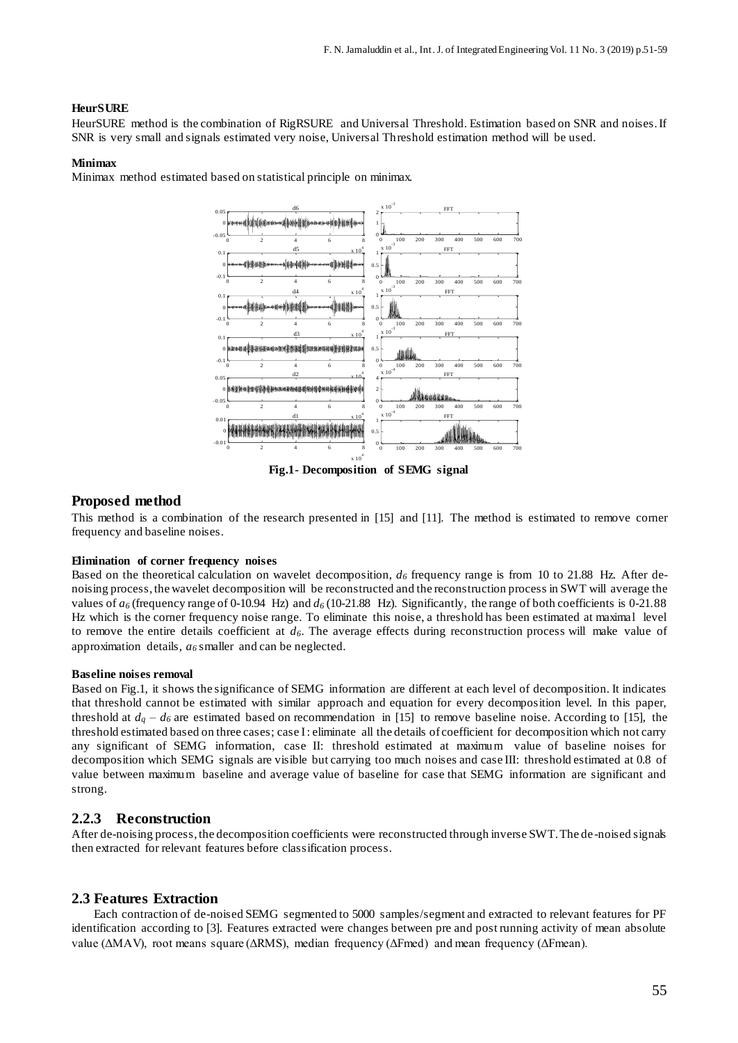#### **HeurSURE**

HeurSURE method is the combination of RigRSURE and Universal Threshold. Estimation based on SNR and noises. If SNR is very small and signals estimated very noise, Universal Threshold estimation method will be used.

#### **Minimax**

Minimax method estimated based on statistical principle on minimax.



**Fig.1- Decomposition of SEMG signal**

#### **Proposed method**

This method is a combination of the research presented in [15] and [11]. The method is estimated to remove corner frequency and baseline noises.

#### **Elimination of corner frequency noises**

Based on the theoretical calculation on wavelet decomposition, *d<sup>6</sup>* frequency range is from 10 to 21.88 Hz. After denoising process, the wavelet decomposition will be reconstructed and the reconstruction process in SWT will average the values of  $a_6$  (frequency range of 0-10.94 Hz) and  $d_6$  (10-21.88 Hz). Significantly, the range of both coefficients is 0-21.88 Hz which is the corner frequency noise range. To eliminate this noise, a threshold has been estimated at maximal level to remove the entire details coefficient at *d6*. The average effects during reconstruction process will make value of approximation details, *a<sup>6</sup>* smaller and can be neglected.

#### **Baseline noises removal**

Based on Fig.1, it shows the significance of SEMG information are different at each level of decomposition. It indicates that threshold cannot be estimated with similar approach and equation for every decomposition level. In this paper, threshold at  $d_q - d_\delta$  are estimated based on recommendation in [15] to remove baseline noise. According to [15], the threshold estimated based on three cases; case I : eliminate all the details of coefficient for decomposition which not carry any significant of SEMG information, case II: threshold estimated at maximum value of baseline noises for decomposition which SEMG signals are visible but carrying too much noises and case III: threshold estimated at 0.8 of value between maximum baseline and average value of baseline for case that SEMG information are significant and strong.

# **2.2.3 Reconstruction**

After de-noising process, the decomposition coefficients were reconstructed through inverse SWT. The de -noised signals then extracted for relevant features before classification process.

#### **2.3 Features Extraction**

Each contraction of de-noised SEMG segmented to 5000 samples/segment and extracted to relevant features for PF identification according to [3]. Features extracted were changes between pre and post running activity of mean absolute value (ΔMAV), root means square (ΔRMS), median frequency (ΔFmed) and mean frequency (ΔFmean).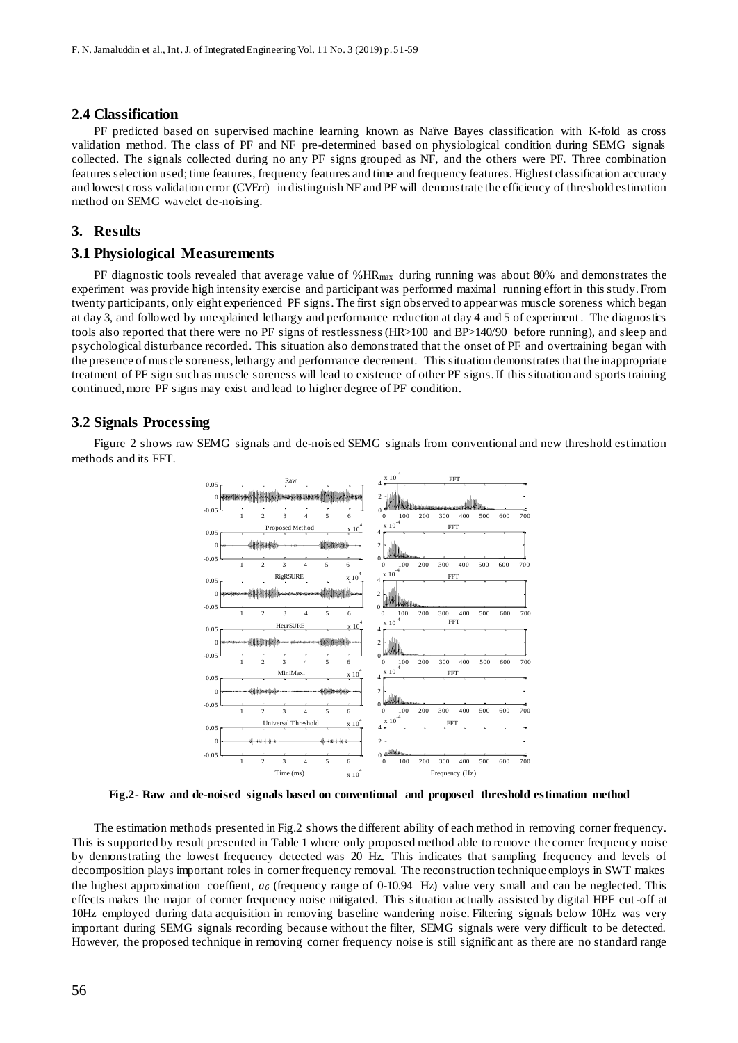#### **2.4 Classification**

PF predicted based on supervised machine learning known as Naïve Bayes classification with K-fold as cross validation method. The class of PF and NF pre-determined based on physiological condition during SEMG signals collected. The signals collected during no any PF signs grouped as NF, and the others were PF. Three combination features selection used; time features, frequency features and time and frequency features. Highest classification accuracy and lowest cross validation error (CVErr) in distinguish NF and PF will demonstrate the efficiency of threshold estimation method on SEMG wavelet de-noising.

#### **3. Results**

#### **3.1 Physiological Measurements**

PF diagnostic tools revealed that average value of %HR<sub>max</sub> during running was about 80% and demonstrates the experiment was provide high intensity exercise and participant was performed maximal running effort in this study. From twenty participants, only eight experienced PF signs. The first sign observed to appear was muscle soreness which began at day 3, and followed by unexplained lethargy and performance reduction at day 4 and 5 of experiment . The diagnostics tools also reported that there were no PF signs of restlessness (HR>100 and BP>140/90 before running), and sleep and psychological disturbance recorded. This situation also demonstrated that the onset of PF and overtraining began with the presence of muscle soreness, lethargy and performance decrement. This situation demonstrates that the inappropriate treatment of PF sign such as muscle soreness will lead to existence of other PF signs. If this situation and sports training continued, more PF signs may exist and lead to higher degree of PF condition.

#### **3.2 Signals Processing**

 Figure 2 shows raw SEMG signals and de-noised SEMG signals from conventional and new threshold estimation methods and its FFT.



**Fig.2- Raw and de-noised signals based on conventional and proposed threshold estimation method**

The estimation methods presented in Fig.2 shows the different ability of each method in removing corner frequency. This is supported by result presented in Table 1 where only proposed method able to remove the corner frequency noise by demonstrating the lowest frequency detected was 20 Hz. This indicates that sampling frequency and levels of decomposition plays important roles in corner frequency removal. The reconstruction technique employs in SWT makes the highest approximation coeffient, *a<sup>6</sup>* (frequency range of 0-10.94 Hz) value very small and can be neglected. This effects makes the major of corner frequency noise mitigated. This situation actually assisted by digital HPF cut-off at 10Hz employed during data acquisition in removing baseline wandering noise. Filtering signals below 10Hz was very important during SEMG signals recording because without the filter, SEMG signals were very difficult to be detected. However, the proposed technique in removing corner frequency noise is still signific ant as there are no standard range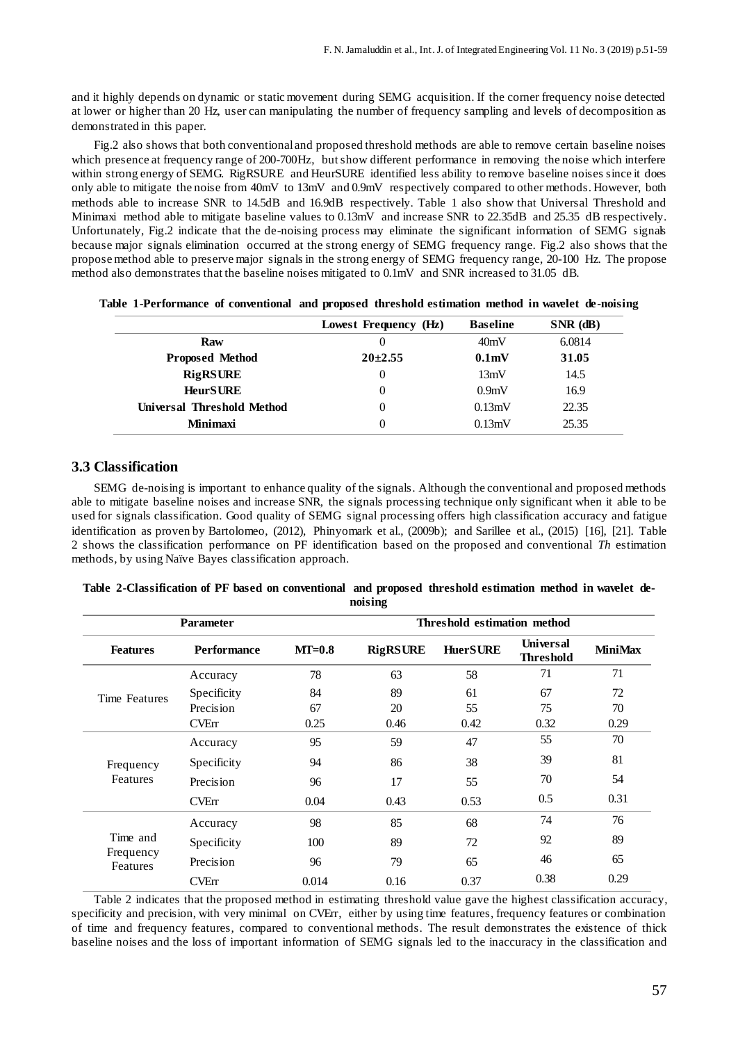and it highly depends on dynamic or static movement during SEMG acquisition. If the corner frequency noise detected at lower or higher than 20 Hz, user can manipulating the number of frequency sampling and levels of decomposition as demonstrated in this paper.

Fig.2 also shows that both conventional and proposed threshold methods are able to remove certain baseline noises which presence at frequency range of 200-700Hz, but show different performance in removing the noise which interfere within strong energy of SEMG. RigRSURE and HeurSURE identified less ability to remove baseline noises since it does only able to mitigate the noise from 40mV to 13mV and 0.9mV respectively compared to other methods. However, both methods able to increase SNR to 14.5dB and 16.9dB respectively. Table 1 also show that Universal Threshold and Minimaxi method able to mitigate baseline values to 0.13mV and increase SNR to 22.35dB and 25.35 dB respectively. Unfortunately, Fig.2 indicate that the de-noising process may eliminate the significant information of SEMG signals because major signals elimination occurred at the strong energy of SEMG frequency range. Fig.2 also shows that the propose method able to preserve major signals in the strong energy of SEMG frequency range, 20-100 Hz. The propose method also demonstrates that the baseline noises mitigated to 0.1mV and SNR increased to 31.05 dB.

|                            | Lowest Frequency (Hz) | <b>Baseline</b>    | $SNR$ (dB) |
|----------------------------|-----------------------|--------------------|------------|
| Raw                        | $\theta$              | 40mV               | 6.0814     |
| <b>Proposed Method</b>     | $20+2.55$             | 0.1 <sub>m</sub> V | 31.05      |
| <b>RigRSURE</b>            | 0                     | 13mV               | 14.5       |
| <b>HeurSURE</b>            |                       | 0.9 <sub>m</sub> V | 16.9       |
| Universal Threshold Method |                       | 0.13mV             | 22.35      |
| <b>Minimaxi</b>            |                       | 0.13mV             | 25.35      |

|  | Table 1-Performance of conventional and proposed threshold estimation method in wavelet de-noising |  |  |  |  |  |  |  |  |  |  |  |  |
|--|----------------------------------------------------------------------------------------------------|--|--|--|--|--|--|--|--|--|--|--|--|
|--|----------------------------------------------------------------------------------------------------|--|--|--|--|--|--|--|--|--|--|--|--|

#### **3.3 Classification**

SEMG de-noising is important to enhance quality of the signals. Although the conventional and proposed methods able to mitigate baseline noises and increase SNR, the signals processing technique only significant when it able to be used for signals classification. Good quality of SEMG signal processing offers high classification accuracy and fatigue identification as proven by Bartolomeo, (2012), Phinyomark et al., (2009b); and Sarillee et al., (2015) [16], [21]. Table 2 shows the classification performance on PF identification based on the proposed and conventional *Th* estimation methods, by using Naïve Bayes classification approach.

|                       |                    |          | ----- <i>--</i> -           |                 |                                      |                |  |  |
|-----------------------|--------------------|----------|-----------------------------|-----------------|--------------------------------------|----------------|--|--|
|                       | <b>Parameter</b>   |          | Threshold estimation method |                 |                                      |                |  |  |
| <b>Features</b>       | <b>Performance</b> | $MT=0.8$ | <b>RigRSURE</b>             | <b>HuerSURE</b> | <b>Universal</b><br><b>Threshold</b> | <b>MiniMax</b> |  |  |
|                       | Accuracy           | 78       | 63                          | 58              | 71                                   | 71             |  |  |
| Time Features         | Specificity        | 84       | 89                          | 61              | 67                                   | 72             |  |  |
|                       | Precision          | 67       | 20                          | 55              | 75                                   | 70             |  |  |
|                       | <b>CVErr</b>       | 0.25     | 0.46                        | 0.42            | 0.32                                 | 0.29           |  |  |
|                       | Accuracy           | 95       | 59                          | 47              | 55                                   | 70             |  |  |
| Frequency             | Specificity        | 94       | 86                          | 38              | 39                                   | 81             |  |  |
| Features              | Precision          | 96       | 17                          | 55              | 70                                   | 54             |  |  |
|                       | <b>CVErr</b>       | 0.04     | 0.43                        | 0.53            | 0.5                                  | 0.31           |  |  |
|                       | Accuracy           | 98       | 85                          | 68              | 74                                   | 76             |  |  |
| Time and              | Specificity        | 100      | 89                          | 72              | 92                                   | 89             |  |  |
| Frequency<br>Features | Precision          | 96       | 79                          | 65              | 46                                   | 65             |  |  |
|                       | <b>CVErr</b>       | 0.014    | 0.16                        | 0.37            | 0.38                                 | 0.29           |  |  |

| Table 2-Classification of PF based on conventional and proposed threshold estimation method in wavelet de- |  |  |  |  |  |  |  |  |  |
|------------------------------------------------------------------------------------------------------------|--|--|--|--|--|--|--|--|--|
| noising                                                                                                    |  |  |  |  |  |  |  |  |  |

Table 2 indicates that the proposed method in estimating threshold value gave the highest classification accuracy, specificity and precision, with very minimal on CVErr, either by using time features, frequency features or combination of time and frequency features, compared to conventional methods. The result demonstrates the existence of thick baseline noises and the loss of important information of SEMG signals led to the inaccuracy in the classification and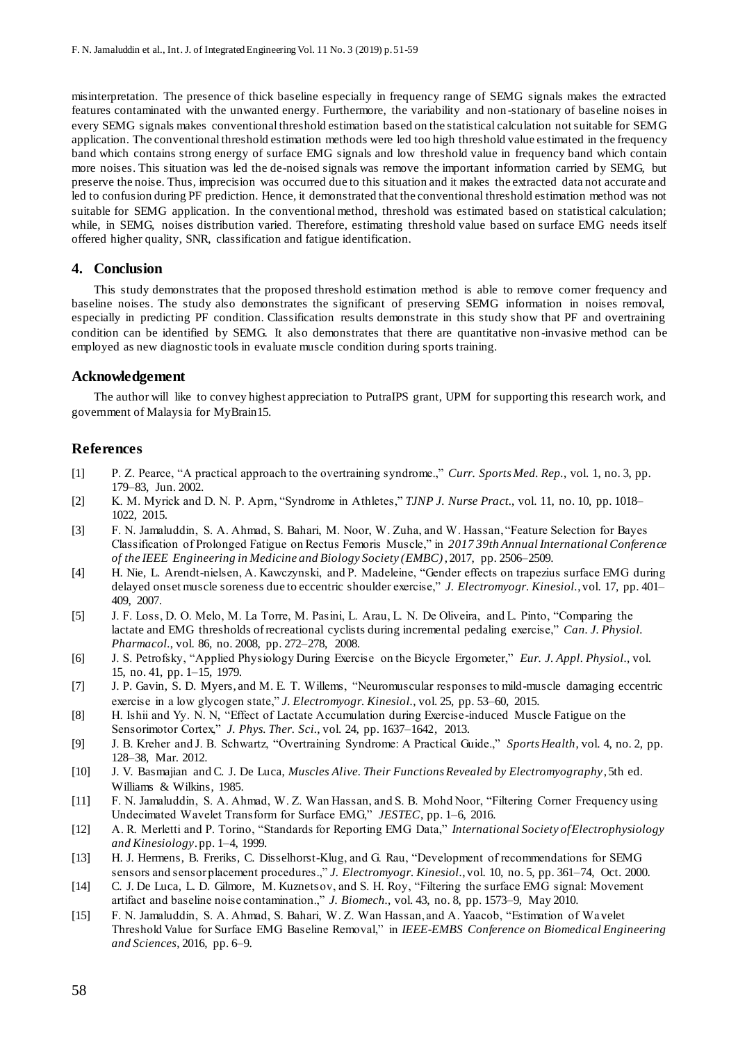misinterpretation. The presence of thick baseline especially in frequency range of SEMG signals makes the extracted features contaminated with the unwanted energy. Furthermore, the variability and non -stationary of baseline noises in every SEMG signals makes conventional threshold estimation based on the statistical calculation not suitable for SEMG application. The conventional threshold estimation methods were led too high threshold value estimated in the frequency band which contains strong energy of surface EMG signals and low threshold value in frequency band which contain more noises. This situation was led the de-noised signals was remove the important information carried by SEMG, but preserve the noise. Thus, imprecision was occurred due to this situation and it makes the extracted data not accurate and led to confusion during PF prediction. Hence, it demonstrated that the conventional threshold estimation method was not suitable for SEMG application. In the conventional method, threshold was estimated based on statistical calculation; while, in SEMG, noises distribution varied. Therefore, estimating threshold value based on surface EMG needs itself offered higher quality, SNR, classification and fatigue identification.

## **4. Conclusion**

This study demonstrates that the proposed threshold estimation method is able to remove corner frequency and baseline noises. The study also demonstrates the significant of preserving SEMG information in noises removal, especially in predicting PF condition. Classification results demonstrate in this study show that PF and overtraining condition can be identified by SEMG. It also demonstrates that there are quantitative non -invasive method can be employed as new diagnostic tools in evaluate muscle condition during sports training.

#### **Acknowledgement**

The author will like to convey highest appreciation to PutraIPS grant, UPM for supporting this research work, and government of Malaysia for MyBrain15.

#### **References**

- [1] P. Z. Pearce, "A practical approach to the overtraining syndrome.," *Curr. Sports Med. Rep.*, vol. 1, no. 3, pp. 179–83, Jun. 2002.
- [2] K. M. Myrick and D. N. P. Aprn, "Syndrome in Athletes," *TJNP J. Nurse Pract.*, vol. 11, no. 10, pp. 1018– 1022, 2015.
- [3] F. N. Jamaluddin, S. A. Ahmad, S. Bahari, M. Noor, W. Zuha, and W. Hassan, "Feature Selection for Bayes Classification of Prolonged Fatigue on Rectus Femoris Muscle," in *2017 39th Annual International Conference of the IEEE Engineering in Medicine and Biology Society (EMBC)*, 2017, pp. 2506–2509.
- [4] H. Nie, L. Arendt-nielsen, A. Kawczynski, and P. Madeleine, "Gender effects on trapezius surface EMG during delayed onset muscle soreness due to eccentric shoulder exercise," *J. Electromyogr. Kinesiol.*, vol. 17, pp. 401– 409, 2007.
- [5] J. F. Loss, D. O. Melo, M. La Torre, M. Pasini, L. Arau, L. N. De Oliveira, and L. Pinto, "Comparing the lactate and EMG thresholds of recreational cyclists during incremental pedaling exercise," *Can. J. Physiol. Pharmacol.*, vol. 86, no. 2008, pp. 272–278, 2008.
- [6] J. S. Petrofsky, "Applied Physiology During Exercise on the Bicycle Ergometer," *Eur. J. Appl. Physiol.*, vol. 15, no. 41, pp. 1–15, 1979.
- [7] J. P. Gavin, S. D. Myers, and M. E. T. Willems, "Neuromuscular responses to mild-muscle damaging eccentric exercise in a low glycogen state," *J. Electromyogr. Kinesiol.*, vol. 25, pp. 53–60, 2015.
- [8] H. Ishii and Yy. N. N, "Effect of Lactate Accumulation during Exercise-induced Muscle Fatigue on the Sensorimotor Cortex," *J. Phys. Ther. Sci.*, vol. 24, pp. 1637–1642, 2013.
- [9] J. B. Kreher and J. B. Schwartz, "Overtraining Syndrome: A Practical Guide.," *Sports Health*, vol. 4, no. 2, pp. 128–38, Mar. 2012.
- [10] J. V. Basmajian and C. J. De Luca, *Muscles Alive. Their Functions Revealed by Electromyography*, 5th ed. Williams & Wilkins, 1985.
- [11] F. N. Jamaluddin, S. A. Ahmad, W. Z. Wan Hassan, and S. B. Mohd Noor, "Filtering Corner Frequency using Undecimated Wavelet Transform for Surface EMG," *JESTEC*, pp. 1–6, 2016.
- [12] A. R. Merletti and P. Torino, "Standards for Reporting EMG Data," *International Society of Electrophysiology and Kinesiology*. pp. 1–4, 1999.
- [13] H. J. Hermens, B. Freriks, C. Disselhorst-Klug, and G. Rau, "Development of recommendations for SEMG sensors and sensor placement procedures.," *J. Electromyogr. Kinesiol.*, vol. 10, no. 5, pp. 361–74, Oct. 2000.
- [14] C. J. De Luca, L. D. Gilmore, M. Kuznetsov, and S. H. Roy, "Filtering the surface EMG signal: Movement artifact and baseline noise contamination.," *J. Biomech.*, vol. 43, no. 8, pp. 1573–9, May 2010.
- [15] F. N. Jamaluddin, S. A. Ahmad, S. Bahari, W. Z. Wan Hassan, and A. Yaacob, "Estimation of Wavelet Threshold Value for Surface EMG Baseline Removal," in *IEEE-EMBS Conference on Biomedical Engineering and Sciences*, 2016, pp. 6–9.